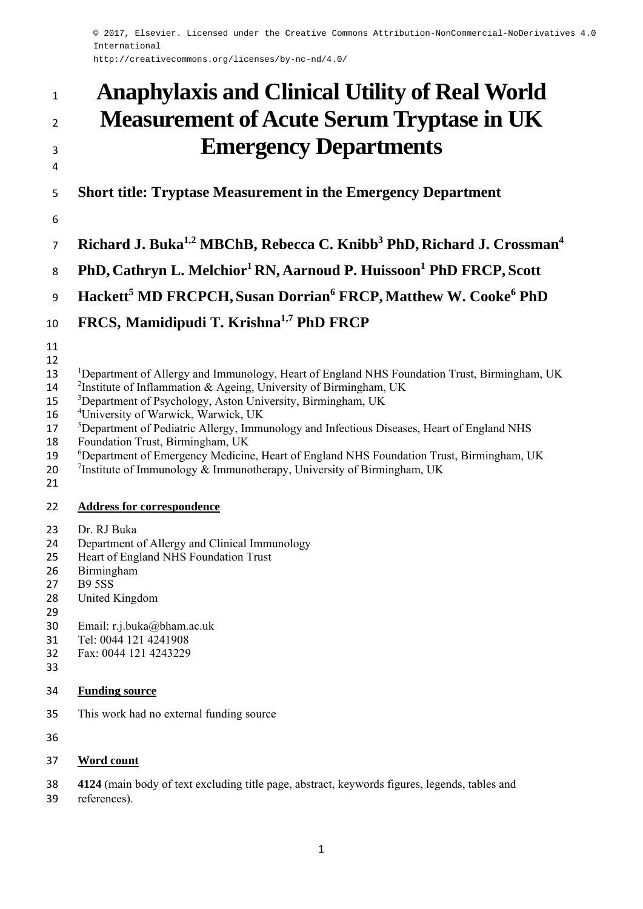© 2017, Elsevier. Licensed under the Creative Commons Attribution-NonCommercial-NoDerivatives 4.0 International

http://creativecommons.org/licenses/by-nc-nd/4.0/

# **Anaphylaxis and Clinical Utility of Real World Measurement of Acute Serum Tryptase in UK Emergency Departments**

**Short title: Tryptase Measurement in the Emergency Department** 

- 
- **Richard J. Buka1,2 MBChB, Rebecca C. Knibb3 PhD, Richard J. Crossman<sup>4</sup>**
- 8 PhD, Cathryn L. Melchior<sup>1</sup> RN, Aarnoud P. Huissoon<sup>1</sup> PhD FRCP, Scott

**Hackett<sup>5</sup> MD FRCPCH, Susan Dorrian6 FRCP, Matthew W. Cooke<sup>6</sup> PhD** 

- 10 FRCS, Mamidipudi T. Krishna<sup>1,7</sup> PhD FRCP
- 
- 13 Department of Allergy and Immunology, Heart of England NHS Foundation Trust, Birmingham, UK
- <sup>2</sup>Institute of Inflammation & Ageing, University of Birmingham, UK
- <sup>3</sup> Department of Psychology, Aston University, Birmingham, UK
- 16 <sup>4</sup> University of Warwick, Warwick, UK
- <sup>5</sup> Department of Pediatric Allergy, Immunology and Infectious Diseases, Heart of England NHS
- Foundation Trust, Birmingham, UK
- <sup>6</sup> 19 <sup>6</sup> Department of Emergency Medicine, Heart of England NHS Foundation Trust, Birmingham, UK
- 20  $\frac{7}{1}$  Institute of Immunology & Immunotherapy, University of Birmingham, UK
- 

### **Address for correspondence**

- Dr. RJ Buka
- Department of Allergy and Clinical Immunology
- Heart of England NHS Foundation Trust
- Birmingham
- B9 5SS
- United Kingdom
- 
- Email: r.j.buka@bham.ac.uk
- Tel: 0044 121 4241908
- Fax: 0044 121 4243229
- 
- **Funding source**
- This work had no external funding source
- 

### **Word count**

- **4124** (main body of text excluding title page, abstract, keywords figures, legends, tables and
- references).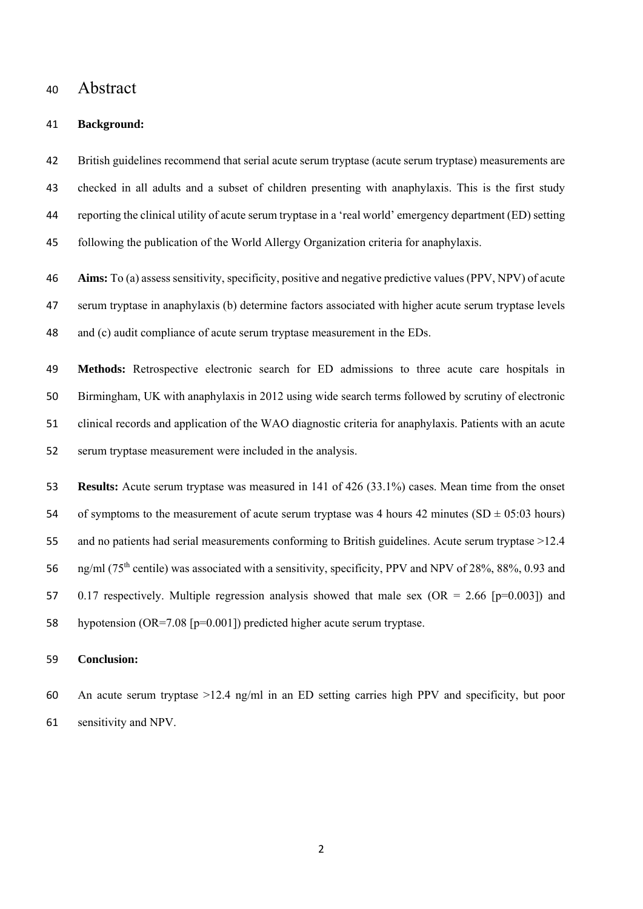## Abstract

#### **Background:**

 British guidelines recommend that serial acute serum tryptase (acute serum tryptase) measurements are checked in all adults and a subset of children presenting with anaphylaxis. This is the first study reporting the clinical utility of acute serum tryptase in a 'real world' emergency department (ED) setting following the publication of the World Allergy Organization criteria for anaphylaxis.

 **Aims:** To (a) assess sensitivity, specificity, positive and negative predictive values (PPV, NPV) of acute serum tryptase in anaphylaxis (b) determine factors associated with higher acute serum tryptase levels and (c) audit compliance of acute serum tryptase measurement in the EDs.

 **Methods:** Retrospective electronic search for ED admissions to three acute care hospitals in Birmingham, UK with anaphylaxis in 2012 using wide search terms followed by scrutiny of electronic clinical records and application of the WAO diagnostic criteria for anaphylaxis. Patients with an acute serum tryptase measurement were included in the analysis.

 **Results:** Acute serum tryptase was measured in 141 of 426 (33.1%) cases. Mean time from the onset 54 of symptoms to the measurement of acute serum tryptase was 4 hours minutes (SD  $\pm$  05:03 hours) and no patients had serial measurements conforming to British guidelines. Acute serum tryptase >12.4 56 ng/ml (75<sup>th</sup> centile) was associated with a sensitivity, specificity, PPV and NPV of 28%, 88%, 0.93 and 57 0.17 respectively. Multiple regression analysis showed that male sex ( $OR = 2.66$  [ $p=0.003$ ]) and hypotension (OR=7.08 [p=0.001]) predicted higher acute serum tryptase.

#### **Conclusion:**

 An acute serum tryptase >12.4 ng/ml in an ED setting carries high PPV and specificity, but poor sensitivity and NPV.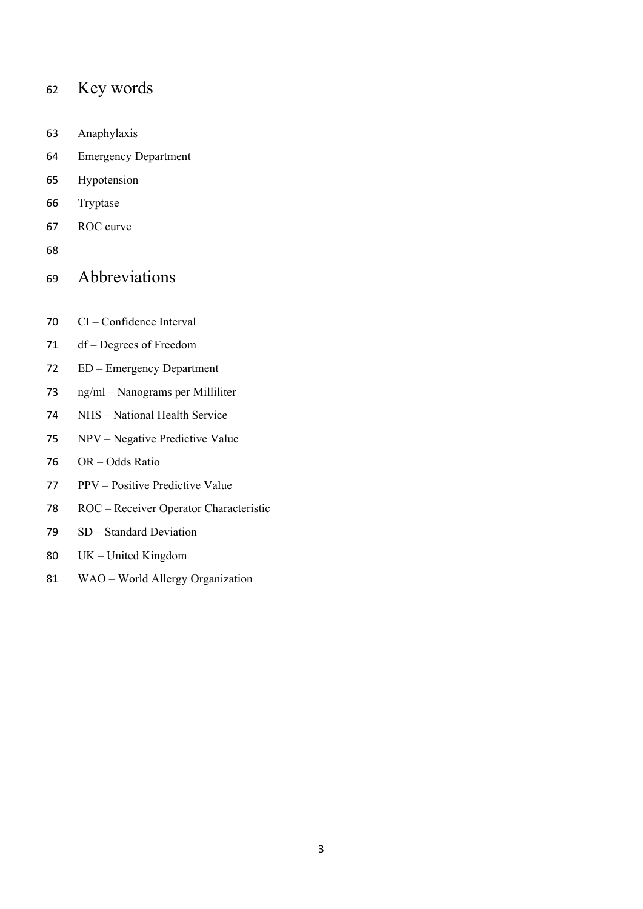# Key words

- Anaphylaxis
- Emergency Department
- Hypotension
- Tryptase
- ROC curve
- 

# Abbreviations

- CI Confidence Interval
- df Degrees of Freedom
- ED Emergency Department
- ng/ml Nanograms per Milliliter
- NHS National Health Service
- NPV Negative Predictive Value
- OR Odds Ratio
- PPV Positive Predictive Value
- ROC Receiver Operator Characteristic
- SD Standard Deviation
- UK United Kingdom
- WAO World Allergy Organization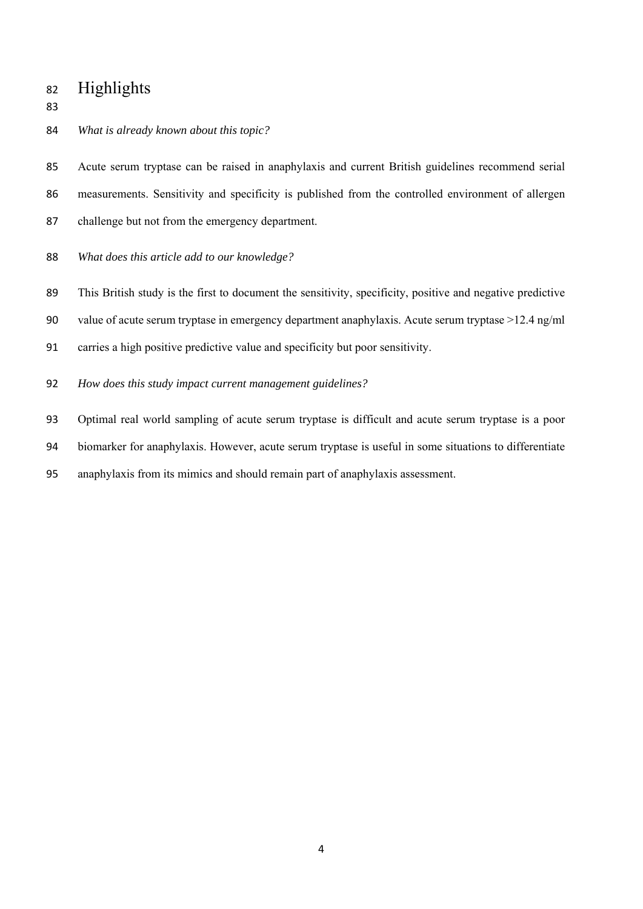# Highlights

*What is already known about this topic?* 

 Acute serum tryptase can be raised in anaphylaxis and current British guidelines recommend serial measurements. Sensitivity and specificity is published from the controlled environment of allergen challenge but not from the emergency department.

- *What does this article add to our knowledge?*
- This British study is the first to document the sensitivity, specificity, positive and negative predictive
- value of acute serum tryptase in emergency department anaphylaxis. Acute serum tryptase >12.4 ng/ml
- carries a high positive predictive value and specificity but poor sensitivity.
- *How does this study impact current management guidelines?*

Optimal real world sampling of acute serum tryptase is difficult and acute serum tryptase is a poor

biomarker for anaphylaxis. However, acute serum tryptase is useful in some situations to differentiate

anaphylaxis from its mimics and should remain part of anaphylaxis assessment.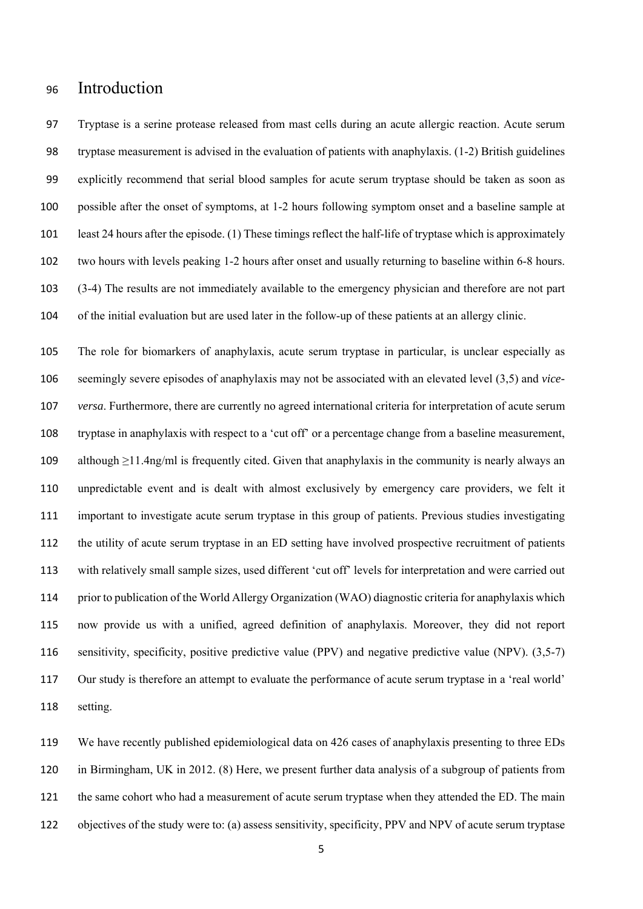## Introduction

 Tryptase is a serine protease released from mast cells during an acute allergic reaction. Acute serum tryptase measurement is advised in the evaluation of patients with anaphylaxis. (1-2) British guidelines explicitly recommend that serial blood samples for acute serum tryptase should be taken as soon as possible after the onset of symptoms, at 1-2 hours following symptom onset and a baseline sample at least 24 hours after the episode. (1) These timings reflect the half-life of tryptase which is approximately two hours with levels peaking 1-2 hours after onset and usually returning to baseline within 6-8 hours. (3-4) The results are not immediately available to the emergency physician and therefore are not part of the initial evaluation but are used later in the follow-up of these patients at an allergy clinic.

 The role for biomarkers of anaphylaxis, acute serum tryptase in particular, is unclear especially as seemingly severe episodes of anaphylaxis may not be associated with an elevated level (3,5) and *vice- versa*. Furthermore, there are currently no agreed international criteria for interpretation of acute serum tryptase in anaphylaxis with respect to a 'cut off' or a percentage change from a baseline measurement, although ≥11.4ng/ml is frequently cited. Given that anaphylaxis in the community is nearly always an unpredictable event and is dealt with almost exclusively by emergency care providers, we felt it important to investigate acute serum tryptase in this group of patients. Previous studies investigating the utility of acute serum tryptase in an ED setting have involved prospective recruitment of patients with relatively small sample sizes, used different 'cut off' levels for interpretation and were carried out prior to publication of the World Allergy Organization (WAO) diagnostic criteria for anaphylaxis which now provide us with a unified, agreed definition of anaphylaxis. Moreover, they did not report 116 sensitivity, specificity, positive predictive value (PPV) and negative predictive value (NPV). (3,5-7) Our study is therefore an attempt to evaluate the performance of acute serum tryptase in a 'real world' setting.

 We have recently published epidemiological data on 426 cases of anaphylaxis presenting to three EDs in Birmingham, UK in 2012. (8) Here, we present further data analysis of a subgroup of patients from the same cohort who had a measurement of acute serum tryptase when they attended the ED. The main objectives of the study were to: (a) assess sensitivity, specificity, PPV and NPV of acute serum tryptase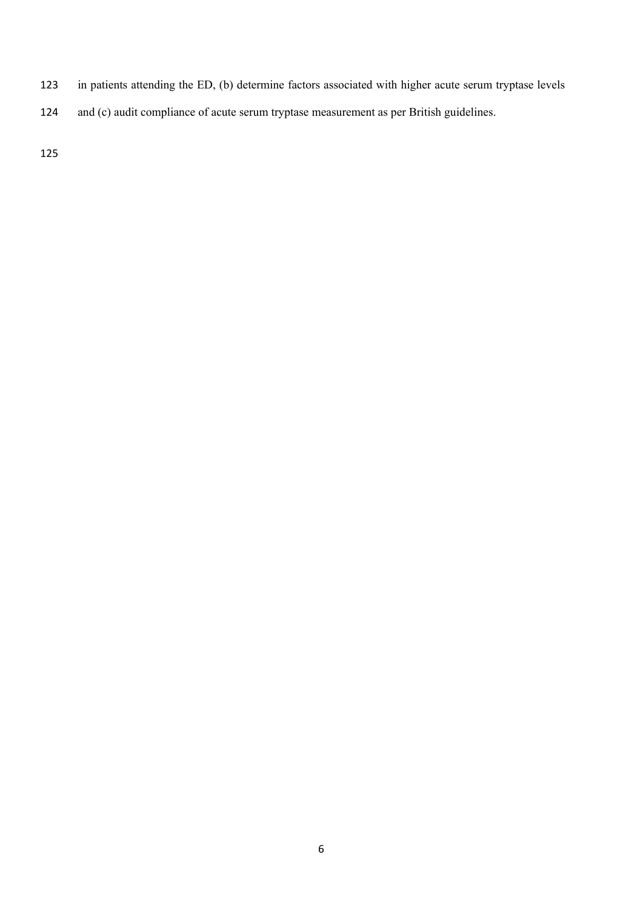- in patients attending the ED, (b) determine factors associated with higher acute serum tryptase levels
- and (c) audit compliance of acute serum tryptase measurement as per British guidelines.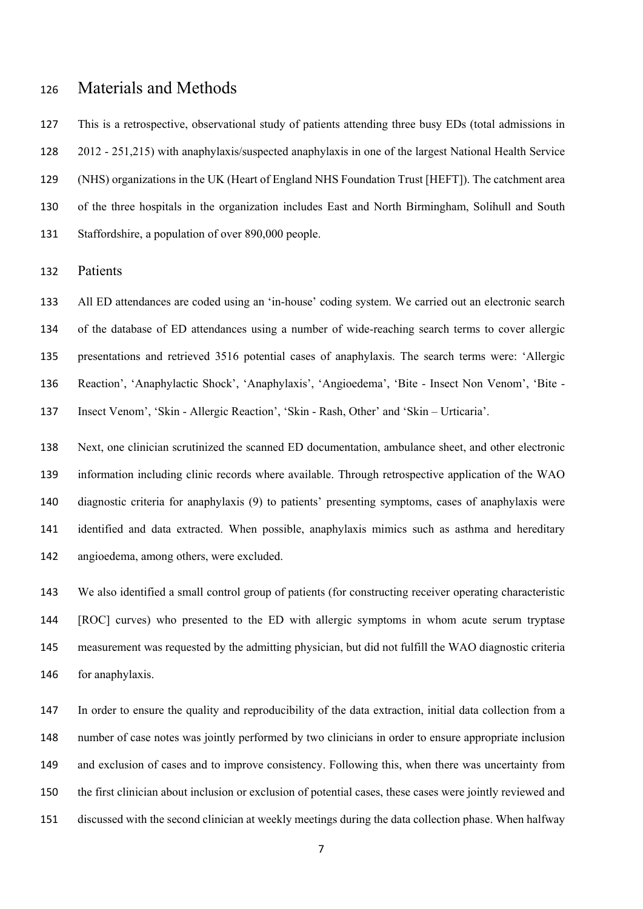## Materials and Methods

 This is a retrospective, observational study of patients attending three busy EDs (total admissions in 2012 - 251,215) with anaphylaxis/suspected anaphylaxis in one of the largest National Health Service (NHS) organizations in the UK (Heart of England NHS Foundation Trust [HEFT]). The catchment area of the three hospitals in the organization includes East and North Birmingham, Solihull and South Staffordshire, a population of over 890,000 people.

Patients

 All ED attendances are coded using an 'in-house' coding system. We carried out an electronic search of the database of ED attendances using a number of wide-reaching search terms to cover allergic presentations and retrieved 3516 potential cases of anaphylaxis. The search terms were: 'Allergic Reaction', 'Anaphylactic Shock', 'Anaphylaxis', 'Angioedema', 'Bite - Insect Non Venom', 'Bite - Insect Venom', 'Skin - Allergic Reaction', 'Skin - Rash, Other' and 'Skin – Urticaria'.

 Next, one clinician scrutinized the scanned ED documentation, ambulance sheet, and other electronic information including clinic records where available. Through retrospective application of the WAO diagnostic criteria for anaphylaxis (9) to patients' presenting symptoms, cases of anaphylaxis were identified and data extracted. When possible, anaphylaxis mimics such as asthma and hereditary angioedema, among others, were excluded.

 We also identified a small control group of patients (for constructing receiver operating characteristic [ROC] curves) who presented to the ED with allergic symptoms in whom acute serum tryptase measurement was requested by the admitting physician, but did not fulfill the WAO diagnostic criteria for anaphylaxis.

 In order to ensure the quality and reproducibility of the data extraction, initial data collection from a number of case notes was jointly performed by two clinicians in order to ensure appropriate inclusion and exclusion of cases and to improve consistency. Following this, when there was uncertainty from the first clinician about inclusion or exclusion of potential cases, these cases were jointly reviewed and discussed with the second clinician at weekly meetings during the data collection phase. When halfway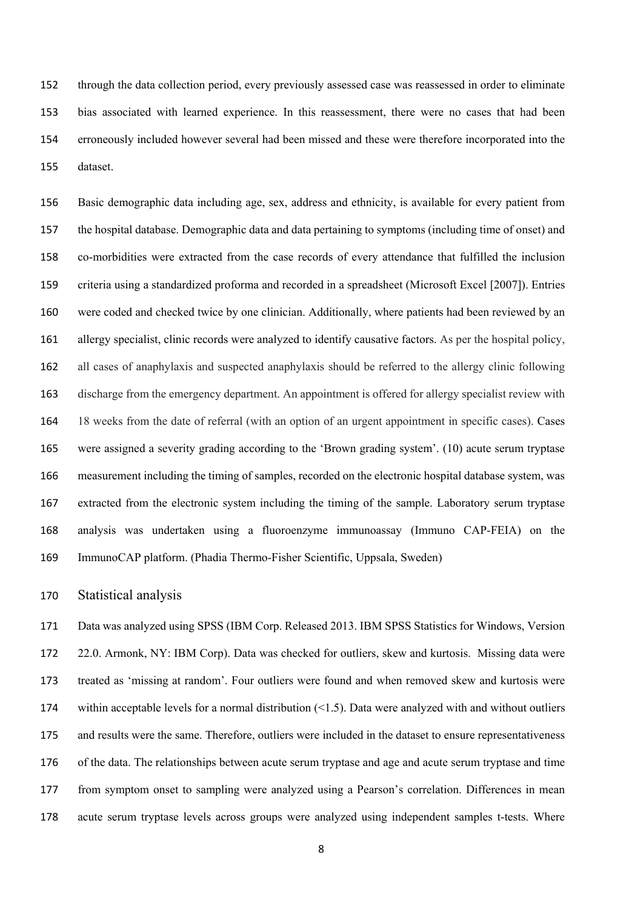through the data collection period, every previously assessed case was reassessed in order to eliminate bias associated with learned experience. In this reassessment, there were no cases that had been erroneously included however several had been missed and these were therefore incorporated into the dataset.

 Basic demographic data including age, sex, address and ethnicity, is available for every patient from the hospital database. Demographic data and data pertaining to symptoms (including time of onset) and co-morbidities were extracted from the case records of every attendance that fulfilled the inclusion criteria using a standardized proforma and recorded in a spreadsheet (Microsoft Excel [2007]). Entries were coded and checked twice by one clinician. Additionally, where patients had been reviewed by an allergy specialist, clinic records were analyzed to identify causative factors. As per the hospital policy, all cases of anaphylaxis and suspected anaphylaxis should be referred to the allergy clinic following discharge from the emergency department. An appointment is offered for allergy specialist review with 18 weeks from the date of referral (with an option of an urgent appointment in specific cases). Cases were assigned a severity grading according to the 'Brown grading system'. (10) acute serum tryptase measurement including the timing of samples, recorded on the electronic hospital database system, was extracted from the electronic system including the timing of the sample. Laboratory serum tryptase analysis was undertaken using a fluoroenzyme immunoassay (Immuno CAP-FEIA) on the ImmunoCAP platform. (Phadia Thermo-Fisher Scientific, Uppsala, Sweden)

#### Statistical analysis

 Data was analyzed using SPSS (IBM Corp. Released 2013. IBM SPSS Statistics for Windows, Version 22.0. Armonk, NY: IBM Corp). Data was checked for outliers, skew and kurtosis. Missing data were treated as 'missing at random'. Four outliers were found and when removed skew and kurtosis were within acceptable levels for a normal distribution (<1.5). Data were analyzed with and without outliers and results were the same. Therefore, outliers were included in the dataset to ensure representativeness of the data. The relationships between acute serum tryptase and age and acute serum tryptase and time from symptom onset to sampling were analyzed using a Pearson's correlation. Differences in mean acute serum tryptase levels across groups were analyzed using independent samples t-tests. Where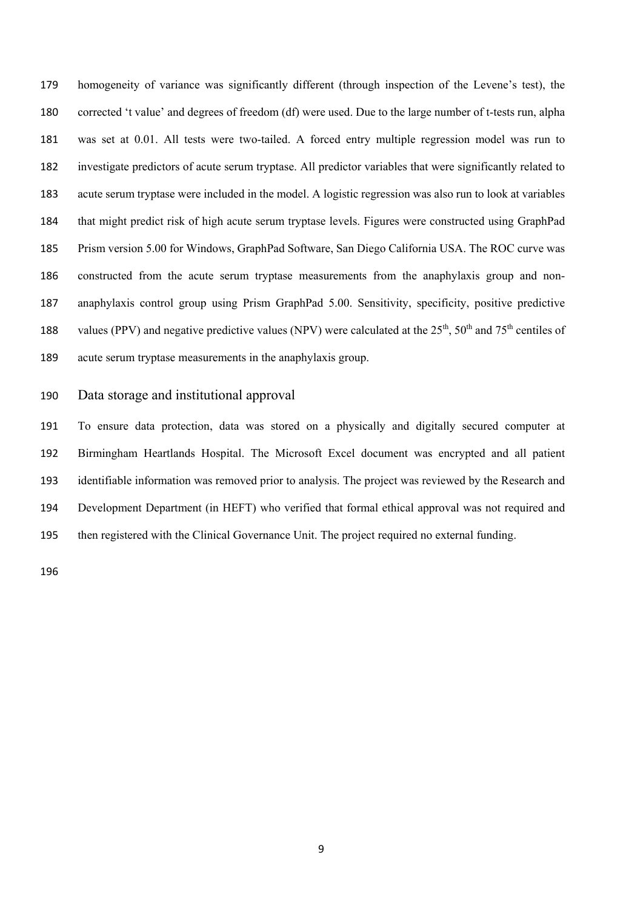homogeneity of variance was significantly different (through inspection of the Levene's test), the corrected 't value' and degrees of freedom (df) were used. Due to the large number of t-tests run, alpha was set at 0.01. All tests were two-tailed. A forced entry multiple regression model was run to investigate predictors of acute serum tryptase. All predictor variables that were significantly related to acute serum tryptase were included in the model. A logistic regression was also run to look at variables that might predict risk of high acute serum tryptase levels. Figures were constructed using GraphPad Prism version 5.00 for Windows, GraphPad Software, San Diego California USA. The ROC curve was constructed from the acute serum tryptase measurements from the anaphylaxis group and non- anaphylaxis control group using Prism GraphPad 5.00. Sensitivity, specificity, positive predictive 188 values (PPV) and negative predictive values (NPV) were calculated at the  $25<sup>th</sup>$ ,  $50<sup>th</sup>$  and  $75<sup>th</sup>$  centiles of acute serum tryptase measurements in the anaphylaxis group.

#### Data storage and institutional approval

 To ensure data protection, data was stored on a physically and digitally secured computer at Birmingham Heartlands Hospital. The Microsoft Excel document was encrypted and all patient identifiable information was removed prior to analysis. The project was reviewed by the Research and Development Department (in HEFT) who verified that formal ethical approval was not required and then registered with the Clinical Governance Unit. The project required no external funding.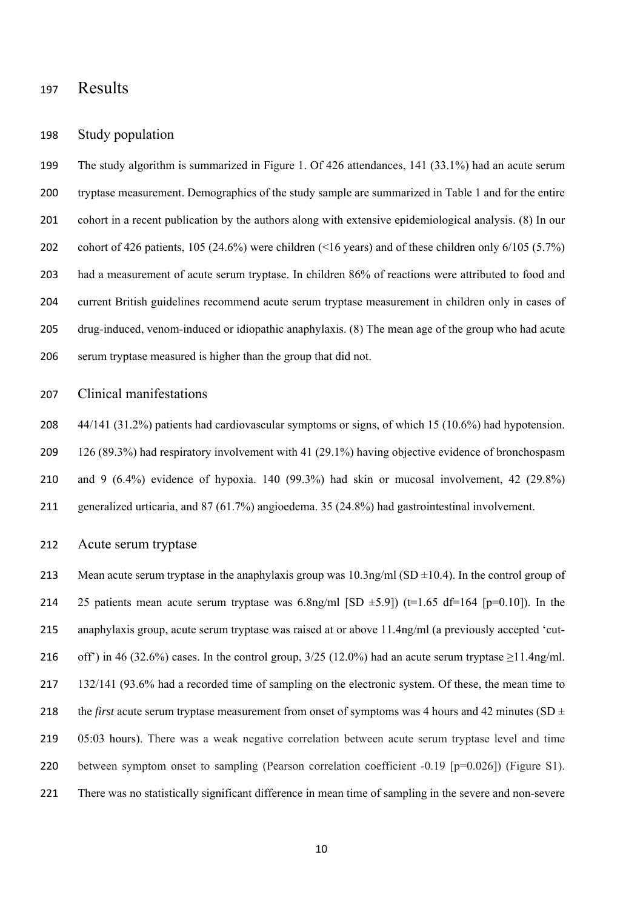## Results

#### Study population

 The study algorithm is summarized in Figure 1. Of 426 attendances, 141 (33.1%) had an acute serum tryptase measurement. Demographics of the study sample are summarized in Table 1 and for the entire cohort in a recent publication by the authors along with extensive epidemiological analysis. (8) In our cohort of 426 patients, 105 (24.6%) were children (<16 years) and of these children only 6/105 (5.7%) had a measurement of acute serum tryptase. In children 86% of reactions were attributed to food and current British guidelines recommend acute serum tryptase measurement in children only in cases of drug-induced, venom-induced or idiopathic anaphylaxis. (8) The mean age of the group who had acute serum tryptase measured is higher than the group that did not.

#### Clinical manifestations

 44/141 (31.2%) patients had cardiovascular symptoms or signs, of which 15 (10.6%) had hypotension. 126 (89.3%) had respiratory involvement with 41 (29.1%) having objective evidence of bronchospasm and 9 (6.4%) evidence of hypoxia. 140 (99.3%) had skin or mucosal involvement, 42 (29.8%) generalized urticaria, and 87 (61.7%) angioedema. 35 (24.8%) had gastrointestinal involvement.

#### Acute serum tryptase

213 Mean acute serum tryptase in the anaphylaxis group was  $10.3$ ng/ml (SD  $\pm 10.4$ ). In the control group of 214 25 patients mean acute serum tryptase was 6.8ng/ml [SD  $\pm$ 5.9]) (t=1.65 df=164 [p=0.10]). In the anaphylaxis group, acute serum tryptase was raised at or above 11.4ng/ml (a previously accepted 'cut-216 off') in 46 (32.6%) cases. In the control group,  $3/25$  (12.0%) had an acute serum tryptase  $\geq$ 11.4ng/ml. 132/141 (93.6% had a recorded time of sampling on the electronic system. Of these, the mean time to 218 the *first* acute serum tryptase measurement from onset of symptoms was 4 hours and 42 minutes (SD  $\pm$  05:03 hours). There was a weak negative correlation between acute serum tryptase level and time 220 between symptom onset to sampling (Pearson correlation coefficient -0.19 [p=0.026]) (Figure S1). There was no statistically significant difference in mean time of sampling in the severe and non-severe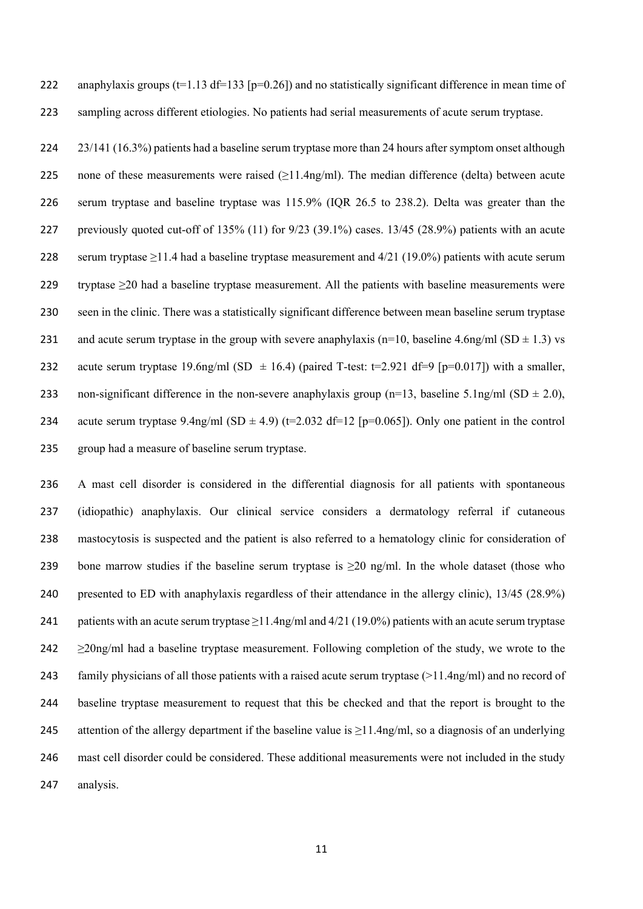222 anaphylaxis groups ( $t=1.13$  df=133 [p=0.26]) and no statistically significant difference in mean time of 223 sampling across different etiologies. No patients had serial measurements of acute serum tryptase.

224 23/141 (16.3%) patients had a baseline serum tryptase more than 24 hours after symptom onset although 225 none of these measurements were raised  $(\geq 11.4$ ng/ml). The median difference (delta) between acute 226 serum tryptase and baseline tryptase was 115.9% (IQR 26.5 to 238.2). Delta was greater than the 227 previously quoted cut-off of 135% (11) for 9/23 (39.1%) cases. 13/45 (28.9%) patients with an acute 228 serum tryptase  $\geq$ 11.4 had a baseline tryptase measurement and 4/21 (19.0%) patients with acute serum 229 tryptase ≥20 had a baseline tryptase measurement. All the patients with baseline measurements were 230 seen in the clinic. There was a statistically significant difference between mean baseline serum tryptase 231 and acute serum tryptase in the group with severe anaphylaxis (n=10, baseline 4.6ng/ml (SD  $\pm$  1.3) vs 232 acute serum tryptase 19.6ng/ml (SD  $\pm$  16.4) (paired T-test: t=2.921 df=9 [p=0.017]) with a smaller, 233 non-significant difference in the non-severe anaphylaxis group (n=13, baseline 5.1ng/ml (SD  $\pm$  2.0), 234 acute serum tryptase 9.4ng/ml (SD  $\pm$  4.9) (t=2.032 df=12 [p=0.065]). Only one patient in the control 235 group had a measure of baseline serum tryptase.

 A mast cell disorder is considered in the differential diagnosis for all patients with spontaneous (idiopathic) anaphylaxis. Our clinical service considers a dermatology referral if cutaneous mastocytosis is suspected and the patient is also referred to a hematology clinic for consideration of 239 bone marrow studies if the baseline serum tryptase is  $\geq$ 20 ng/ml. In the whole dataset (those who presented to ED with anaphylaxis regardless of their attendance in the allergy clinic), 13/45 (28.9%) 241 patients with an acute serum tryptase  $\geq 11.4$ ng/ml and 4/21 (19.0%) patients with an acute serum tryptase  $\geq$  20ng/ml had a baseline tryptase measurement. Following completion of the study, we wrote to the 243 family physicians of all those patients with a raised acute serum tryptase  $(>11.4 \text{ng/ml})$  and no record of baseline tryptase measurement to request that this be checked and that the report is brought to the 245 attention of the allergy department if the baseline value is  $\geq$ 11.4ng/ml, so a diagnosis of an underlying mast cell disorder could be considered. These additional measurements were not included in the study analysis.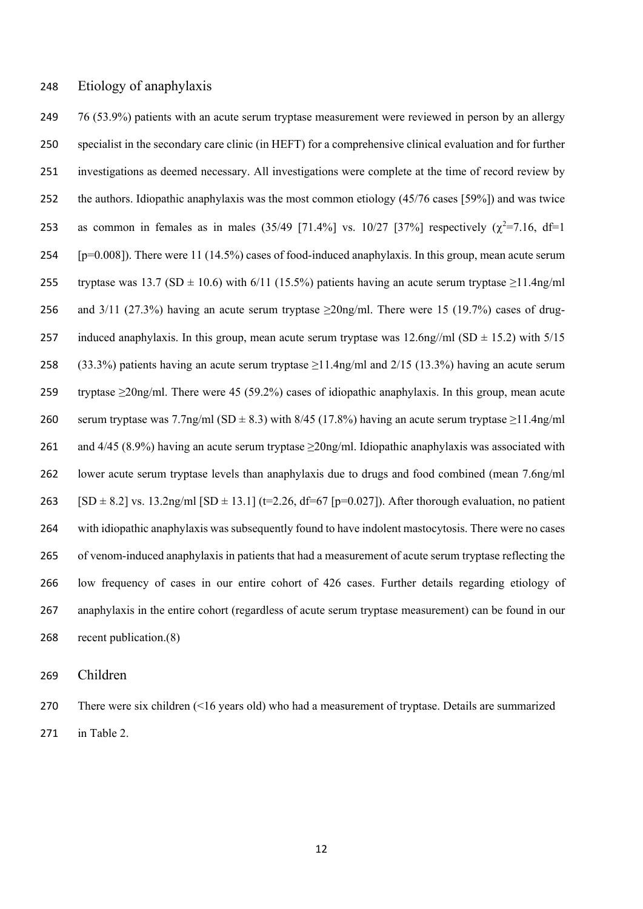#### Etiology of anaphylaxis

 76 (53.9%) patients with an acute serum tryptase measurement were reviewed in person by an allergy specialist in the secondary care clinic (in HEFT) for a comprehensive clinical evaluation and for further investigations as deemed necessary. All investigations were complete at the time of record review by the authors. Idiopathic anaphylaxis was the most common etiology (45/76 cases [59%]) and was twice 253 as common in females as in males (35/49 [71.4%] vs. 10/27 [37%] respectively  $(\chi^2=7.16, df=1$  [p=0.008]). There were 11 (14.5%) cases of food-induced anaphylaxis. In this group, mean acute serum 255 tryptase was 13.7 (SD  $\pm$  10.6) with 6/11 (15.5%) patients having an acute serum tryptase  $\geq$ 11.4ng/ml 256 and 3/11 (27.3%) having an acute serum tryptase  $\geq$ 20ng/ml. There were 15 (19.7%) cases of drug-257 induced anaphylaxis. In this group, mean acute serum tryptase was  $12.6$ ng//ml (SD  $\pm$  15.2) with 5/15 258 (33.3%) patients having an acute serum tryptase  $\geq$ 11.4ng/ml and 2/15 (13.3%) having an acute serum 259 tryptase  $\geq$ 20ng/ml. There were 45 (59.2%) cases of idiopathic anaphylaxis. In this group, mean acute 260 serum tryptase was 7.7ng/ml (SD  $\pm$  8.3) with 8/45 (17.8%) having an acute serum tryptase  $\geq$ 11.4ng/ml 261 and 4/45 (8.9%) having an acute serum tryptase  $\geq$ 20ng/ml. Idiopathic anaphylaxis was associated with lower acute serum tryptase levels than anaphylaxis due to drugs and food combined (mean 7.6ng/ml 263 [SD  $\pm$  8.2] vs. 13.2ng/ml [SD  $\pm$  13.1] (t=2.26, df=67 [p=0.027]). After thorough evaluation, no patient with idiopathic anaphylaxis was subsequently found to have indolent mastocytosis. There were no cases of venom-induced anaphylaxis in patients that had a measurement of acute serum tryptase reflecting the low frequency of cases in our entire cohort of 426 cases. Further details regarding etiology of anaphylaxis in the entire cohort (regardless of acute serum tryptase measurement) can be found in our recent publication.(8)

Children

 There were six children (<16 years old) who had a measurement of tryptase. Details are summarized in Table 2.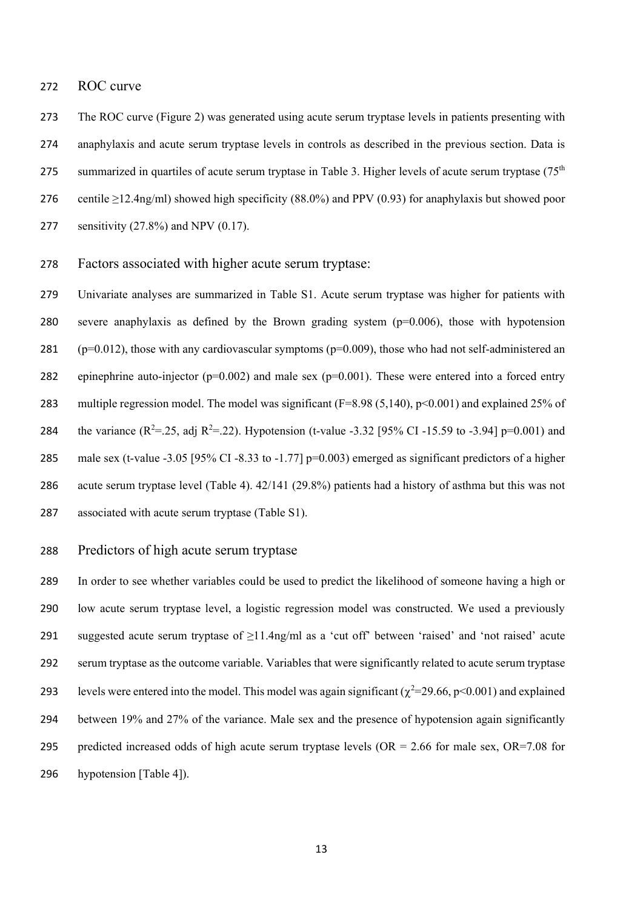#### ROC curve

 The ROC curve (Figure 2) was generated using acute serum tryptase levels in patients presenting with anaphylaxis and acute serum tryptase levels in controls as described in the previous section. Data is 275 summarized in quartiles of acute serum tryptase in Table 3. Higher levels of acute serum tryptase  $(75<sup>th</sup>$ 276 centile  $\geq$ 12.4ng/ml) showed high specificity (88.0%) and PPV (0.93) for anaphylaxis but showed poor sensitivity (27.8%) and NPV (0.17).

#### Factors associated with higher acute serum tryptase:

 Univariate analyses are summarized in Table S1. Acute serum tryptase was higher for patients with severe anaphylaxis as defined by the Brown grading system (p=0.006), those with hypotension 281 ( $p=0.012$ ), those with any cardiovascular symptoms ( $p=0.009$ ), those who had not self-administered an 282 epinephrine auto-injector ( $p=0.002$ ) and male sex ( $p=0.001$ ). These were entered into a forced entry multiple regression model. The model was significant (F=8.98 (5,140), p<0.001) and explained 25% of 284 the variance ( $R^2 = .25$ , adj  $R^2 = .22$ ). Hypotension (t-value -3.32 [95% CI -15.59 to -3.94] p=0.001) and 285 male sex (t-value -3.05 [95% CI -8.33 to -1.77] p=0.003) emerged as significant predictors of a higher acute serum tryptase level (Table 4). 42/141 (29.8%) patients had a history of asthma but this was not associated with acute serum tryptase (Table S1).

#### Predictors of high acute serum tryptase

 In order to see whether variables could be used to predict the likelihood of someone having a high or low acute serum tryptase level, a logistic regression model was constructed. We used a previously suggested acute serum tryptase of ≥11.4ng/ml as a 'cut off' between 'raised' and 'not raised' acute serum tryptase as the outcome variable. Variables that were significantly related to acute serum tryptase 293 levels were entered into the model. This model was again significant ( $\chi^2$ =29.66, p<0.001) and explained between 19% and 27% of the variance. Male sex and the presence of hypotension again significantly 295 predicted increased odds of high acute serum tryptase levels ( $OR = 2.66$  for male sex,  $OR = 7.08$  for hypotension [Table 4]).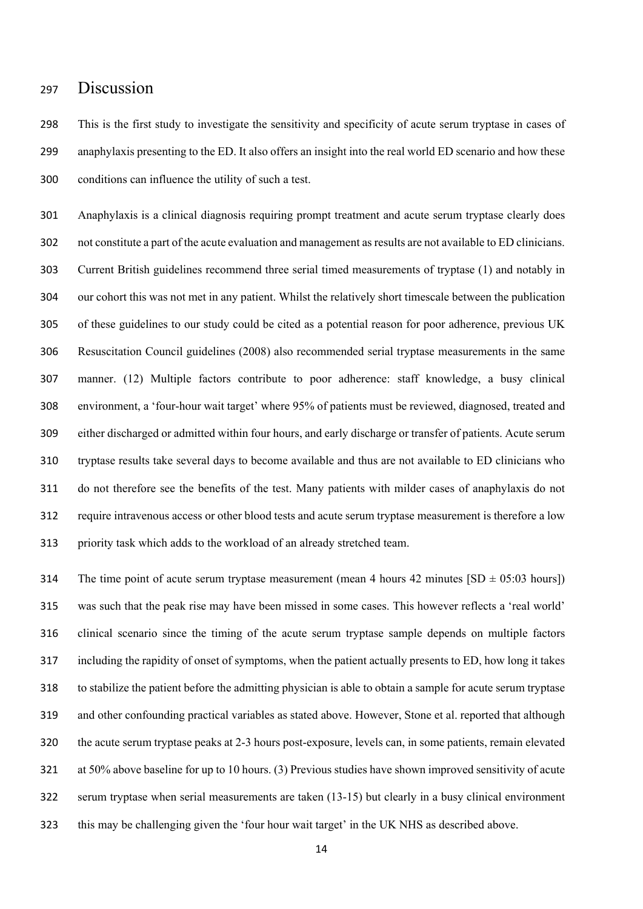## Discussion

 This is the first study to investigate the sensitivity and specificity of acute serum tryptase in cases of anaphylaxis presenting to the ED. It also offers an insight into the real world ED scenario and how these conditions can influence the utility of such a test.

 Anaphylaxis is a clinical diagnosis requiring prompt treatment and acute serum tryptase clearly does not constitute a part of the acute evaluation and management as results are not available to ED clinicians. Current British guidelines recommend three serial timed measurements of tryptase (1) and notably in our cohort this was not met in any patient. Whilst the relatively short timescale between the publication of these guidelines to our study could be cited as a potential reason for poor adherence, previous UK Resuscitation Council guidelines (2008) also recommended serial tryptase measurements in the same manner. (12) Multiple factors contribute to poor adherence: staff knowledge, a busy clinical environment, a 'four-hour wait target' where 95% of patients must be reviewed, diagnosed, treated and either discharged or admitted within four hours, and early discharge or transfer of patients. Acute serum tryptase results take several days to become available and thus are not available to ED clinicians who do not therefore see the benefits of the test. Many patients with milder cases of anaphylaxis do not require intravenous access or other blood tests and acute serum tryptase measurement is therefore a low priority task which adds to the workload of an already stretched team.

314 The time point of acute serum tryptase measurement (mean 4 hours minutes  $[SD \pm 05:03$  hours]) was such that the peak rise may have been missed in some cases. This however reflects a 'real world' clinical scenario since the timing of the acute serum tryptase sample depends on multiple factors including the rapidity of onset of symptoms, when the patient actually presents to ED, how long it takes to stabilize the patient before the admitting physician is able to obtain a sample for acute serum tryptase and other confounding practical variables as stated above. However, Stone et al. reported that although the acute serum tryptase peaks at 2-3 hours post-exposure, levels can, in some patients, remain elevated at 50% above baseline for up to 10 hours. (3) Previous studies have shown improved sensitivity of acute serum tryptase when serial measurements are taken (13-15) but clearly in a busy clinical environment this may be challenging given the 'four hour wait target' in the UK NHS as described above.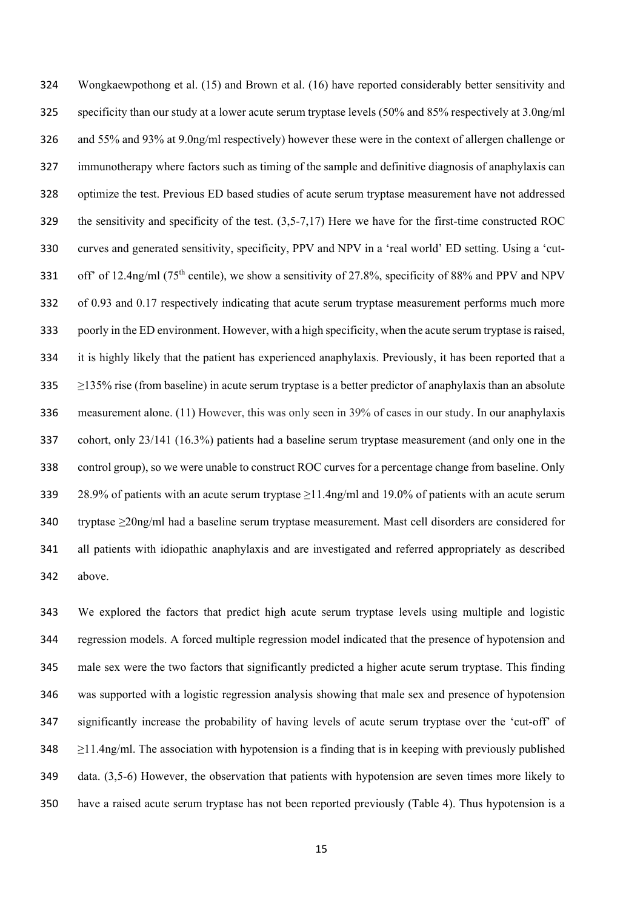Wongkaewpothong et al. (15) and Brown et al. (16) have reported considerably better sensitivity and specificity than our study at a lower acute serum tryptase levels (50% and 85% respectively at 3.0ng/ml and 55% and 93% at 9.0ng/ml respectively) however these were in the context of allergen challenge or immunotherapy where factors such as timing of the sample and definitive diagnosis of anaphylaxis can optimize the test. Previous ED based studies of acute serum tryptase measurement have not addressed the sensitivity and specificity of the test. (3,5-7,17) Here we have for the first-time constructed ROC curves and generated sensitivity, specificity, PPV and NPV in a 'real world' ED setting. Using a 'cut-331 off' of 12.4ng/ml (75<sup>th</sup> centile), we show a sensitivity of 27.8%, specificity of 88% and PPV and NPV of 0.93 and 0.17 respectively indicating that acute serum tryptase measurement performs much more poorly in the ED environment. However, with a high specificity, when the acute serum tryptase is raised, it is highly likely that the patient has experienced anaphylaxis. Previously, it has been reported that a  $\geq$  2135% rise (from baseline) in acute serum tryptase is a better predictor of anaphylaxis than an absolute measurement alone. (11) However, this was only seen in 39% of cases in our study. In our anaphylaxis cohort, only 23/141 (16.3%) patients had a baseline serum tryptase measurement (and only one in the control group), so we were unable to construct ROC curves for a percentage change from baseline. Only 28.9% of patients with an acute serum tryptase ≥11.4ng/ml and 19.0% of patients with an acute serum tryptase ≥20ng/ml had a baseline serum tryptase measurement. Mast cell disorders are considered for all patients with idiopathic anaphylaxis and are investigated and referred appropriately as described above.

 We explored the factors that predict high acute serum tryptase levels using multiple and logistic regression models. A forced multiple regression model indicated that the presence of hypotension and male sex were the two factors that significantly predicted a higher acute serum tryptase. This finding was supported with a logistic regression analysis showing that male sex and presence of hypotension significantly increase the probability of having levels of acute serum tryptase over the 'cut-off' of  $\geq$ 11.4ng/ml. The association with hypotension is a finding that is in keeping with previously published data. (3,5-6) However, the observation that patients with hypotension are seven times more likely to have a raised acute serum tryptase has not been reported previously (Table 4). Thus hypotension is a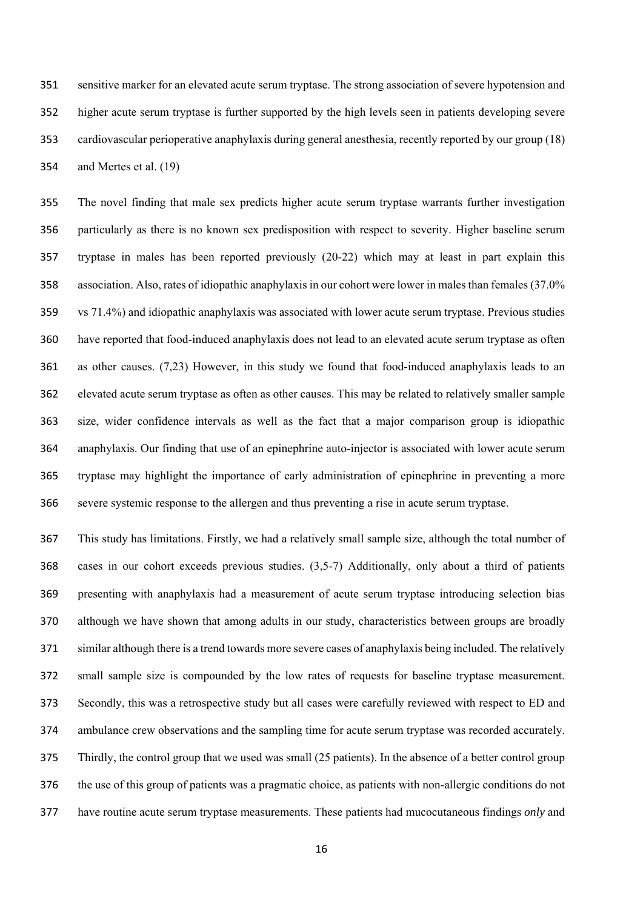sensitive marker for an elevated acute serum tryptase. The strong association of severe hypotension and higher acute serum tryptase is further supported by the high levels seen in patients developing severe cardiovascular perioperative anaphylaxis during general anesthesia, recently reported by our group (18) and Mertes et al. (19)

 The novel finding that male sex predicts higher acute serum tryptase warrants further investigation particularly as there is no known sex predisposition with respect to severity. Higher baseline serum tryptase in males has been reported previously (20-22) which may at least in part explain this association. Also, rates of idiopathic anaphylaxis in our cohort were lower in males than females (37.0% vs 71.4%) and idiopathic anaphylaxis was associated with lower acute serum tryptase. Previous studies have reported that food-induced anaphylaxis does not lead to an elevated acute serum tryptase as often as other causes. (7,23) However, in this study we found that food-induced anaphylaxis leads to an elevated acute serum tryptase as often as other causes. This may be related to relatively smaller sample size, wider confidence intervals as well as the fact that a major comparison group is idiopathic anaphylaxis. Our finding that use of an epinephrine auto-injector is associated with lower acute serum tryptase may highlight the importance of early administration of epinephrine in preventing a more severe systemic response to the allergen and thus preventing a rise in acute serum tryptase.

 This study has limitations. Firstly, we had a relatively small sample size, although the total number of cases in our cohort exceeds previous studies. (3,5-7) Additionally, only about a third of patients presenting with anaphylaxis had a measurement of acute serum tryptase introducing selection bias although we have shown that among adults in our study, characteristics between groups are broadly similar although there is a trend towards more severe cases of anaphylaxis being included. The relatively small sample size is compounded by the low rates of requests for baseline tryptase measurement. Secondly, this was a retrospective study but all cases were carefully reviewed with respect to ED and ambulance crew observations and the sampling time for acute serum tryptase was recorded accurately. Thirdly, the control group that we used was small (25 patients). In the absence of a better control group the use of this group of patients was a pragmatic choice, as patients with non-allergic conditions do not have routine acute serum tryptase measurements. These patients had mucocutaneous findings *only* and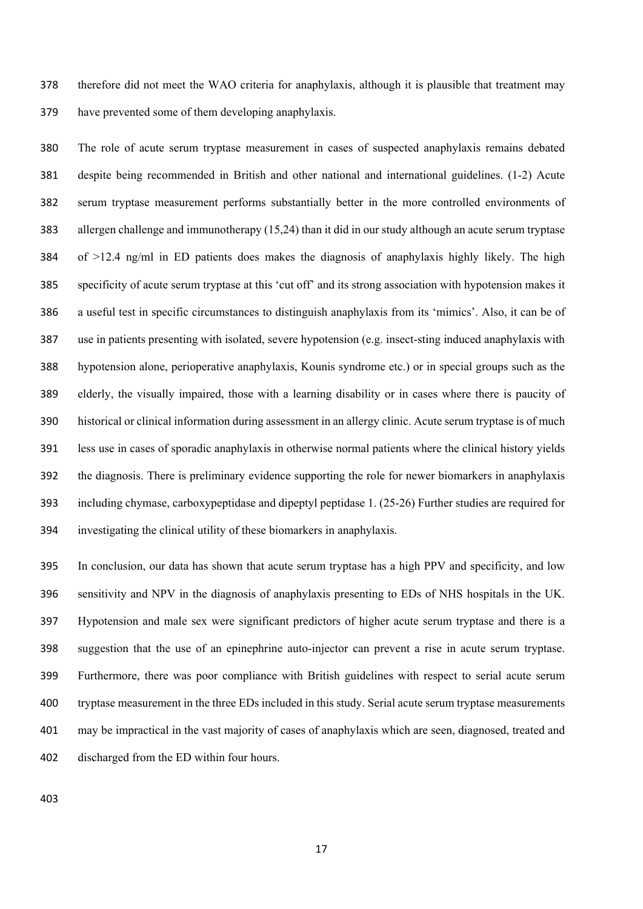therefore did not meet the WAO criteria for anaphylaxis, although it is plausible that treatment may have prevented some of them developing anaphylaxis.

 The role of acute serum tryptase measurement in cases of suspected anaphylaxis remains debated despite being recommended in British and other national and international guidelines. (1-2) Acute serum tryptase measurement performs substantially better in the more controlled environments of allergen challenge and immunotherapy (15,24) than it did in our study although an acute serum tryptase of  $>12.4$  ng/ml in ED patients does makes the diagnosis of anaphylaxis highly likely. The high specificity of acute serum tryptase at this 'cut off' and its strong association with hypotension makes it a useful test in specific circumstances to distinguish anaphylaxis from its 'mimics'. Also, it can be of use in patients presenting with isolated, severe hypotension (e.g. insect-sting induced anaphylaxis with hypotension alone, perioperative anaphylaxis, Kounis syndrome etc.) or in special groups such as the elderly, the visually impaired, those with a learning disability or in cases where there is paucity of historical or clinical information during assessment in an allergy clinic. Acute serum tryptase is of much less use in cases of sporadic anaphylaxis in otherwise normal patients where the clinical history yields the diagnosis. There is preliminary evidence supporting the role for newer biomarkers in anaphylaxis including chymase, carboxypeptidase and dipeptyl peptidase 1. (25-26) Further studies are required for investigating the clinical utility of these biomarkers in anaphylaxis.

 In conclusion, our data has shown that acute serum tryptase has a high PPV and specificity, and low sensitivity and NPV in the diagnosis of anaphylaxis presenting to EDs of NHS hospitals in the UK. Hypotension and male sex were significant predictors of higher acute serum tryptase and there is a suggestion that the use of an epinephrine auto-injector can prevent a rise in acute serum tryptase. Furthermore, there was poor compliance with British guidelines with respect to serial acute serum tryptase measurement in the three EDs included in this study. Serial acute serum tryptase measurements may be impractical in the vast majority of cases of anaphylaxis which are seen, diagnosed, treated and discharged from the ED within four hours.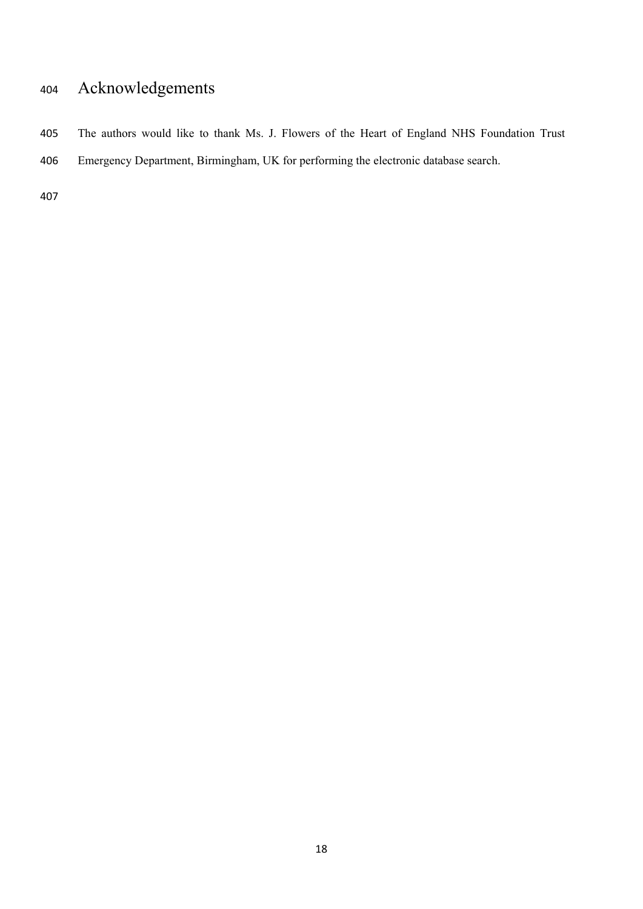# Acknowledgements

 The authors would like to thank Ms. J. Flowers of the Heart of England NHS Foundation Trust Emergency Department, Birmingham, UK for performing the electronic database search.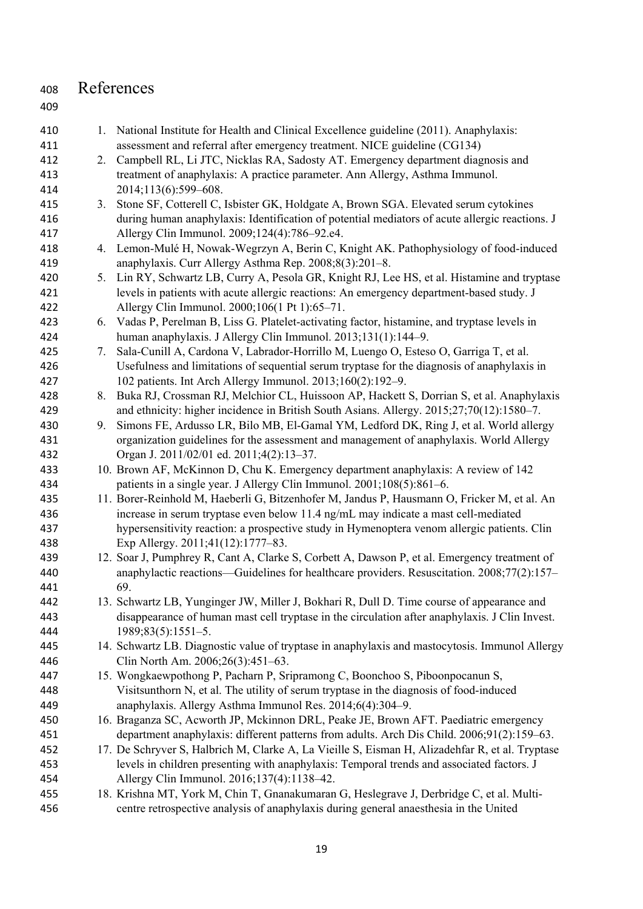### References 410 1. National Institute for Health and Clinical Excellence guideline (2011). Anaphylaxis: assessment and referral after emergency treatment. NICE guideline (CG134) 2. Campbell RL, Li JTC, Nicklas RA, Sadosty AT. Emergency department diagnosis and treatment of anaphylaxis: A practice parameter. Ann Allergy, Asthma Immunol. 2014;113(6):599–608. 3. Stone SF, Cotterell C, Isbister GK, Holdgate A, Brown SGA. Elevated serum cytokines during human anaphylaxis: Identification of potential mediators of acute allergic reactions. J Allergy Clin Immunol. 2009;124(4):786–92.e4. 4. Lemon-Mulé H, Nowak-Wegrzyn A, Berin C, Knight AK. Pathophysiology of food-induced anaphylaxis. Curr Allergy Asthma Rep. 2008;8(3):201–8. 5. Lin RY, Schwartz LB, Curry A, Pesola GR, Knight RJ, Lee HS, et al. Histamine and tryptase levels in patients with acute allergic reactions: An emergency department-based study. J Allergy Clin Immunol. 2000;106(1 Pt 1):65–71. 6. Vadas P, Perelman B, Liss G. Platelet-activating factor, histamine, and tryptase levels in human anaphylaxis. J Allergy Clin Immunol. 2013;131(1):144–9. 7. Sala-Cunill A, Cardona V, Labrador-Horrillo M, Luengo O, Esteso O, Garriga T, et al. Usefulness and limitations of sequential serum tryptase for the diagnosis of anaphylaxis in 102 patients. Int Arch Allergy Immunol. 2013;160(2):192–9. 8. Buka RJ, Crossman RJ, Melchior CL, Huissoon AP, Hackett S, Dorrian S, et al. Anaphylaxis and ethnicity: higher incidence in British South Asians. Allergy. 2015;27;70(12):1580–7. 9. Simons FE, Ardusso LR, Bilo MB, El-Gamal YM, Ledford DK, Ring J, et al. World allergy organization guidelines for the assessment and management of anaphylaxis. World Allergy Organ J. 2011/02/01 ed. 2011;4(2):13–37. 10. Brown AF, McKinnon D, Chu K. Emergency department anaphylaxis: A review of 142 patients in a single year. J Allergy Clin Immunol. 2001;108(5):861–6. 11. Borer-Reinhold M, Haeberli G, Bitzenhofer M, Jandus P, Hausmann O, Fricker M, et al. An increase in serum tryptase even below 11.4 ng/mL may indicate a mast cell-mediated hypersensitivity reaction: a prospective study in Hymenoptera venom allergic patients. Clin Exp Allergy. 2011;41(12):1777–83. 12. Soar J, Pumphrey R, Cant A, Clarke S, Corbett A, Dawson P, et al. Emergency treatment of anaphylactic reactions—Guidelines for healthcare providers. Resuscitation. 2008;77(2):157– 69. 13. Schwartz LB, Yunginger JW, Miller J, Bokhari R, Dull D. Time course of appearance and disappearance of human mast cell tryptase in the circulation after anaphylaxis. J Clin Invest. 1989;83(5):1551–5. 14. Schwartz LB. Diagnostic value of tryptase in anaphylaxis and mastocytosis. Immunol Allergy Clin North Am. 2006;26(3):451–63. 15. Wongkaewpothong P, Pacharn P, Sripramong C, Boonchoo S, Piboonpocanun S, Visitsunthorn N, et al. The utility of serum tryptase in the diagnosis of food-induced anaphylaxis. Allergy Asthma Immunol Res. 2014;6(4):304–9. 16. Braganza SC, Acworth JP, Mckinnon DRL, Peake JE, Brown AFT. Paediatric emergency department anaphylaxis: different patterns from adults. Arch Dis Child. 2006;91(2):159–63. 17. De Schryver S, Halbrich M, Clarke A, La Vieille S, Eisman H, Alizadehfar R, et al. Tryptase levels in children presenting with anaphylaxis: Temporal trends and associated factors. J Allergy Clin Immunol. 2016;137(4):1138–42. 18. Krishna MT, York M, Chin T, Gnanakumaran G, Heslegrave J, Derbridge C, et al. Multi-centre retrospective analysis of anaphylaxis during general anaesthesia in the United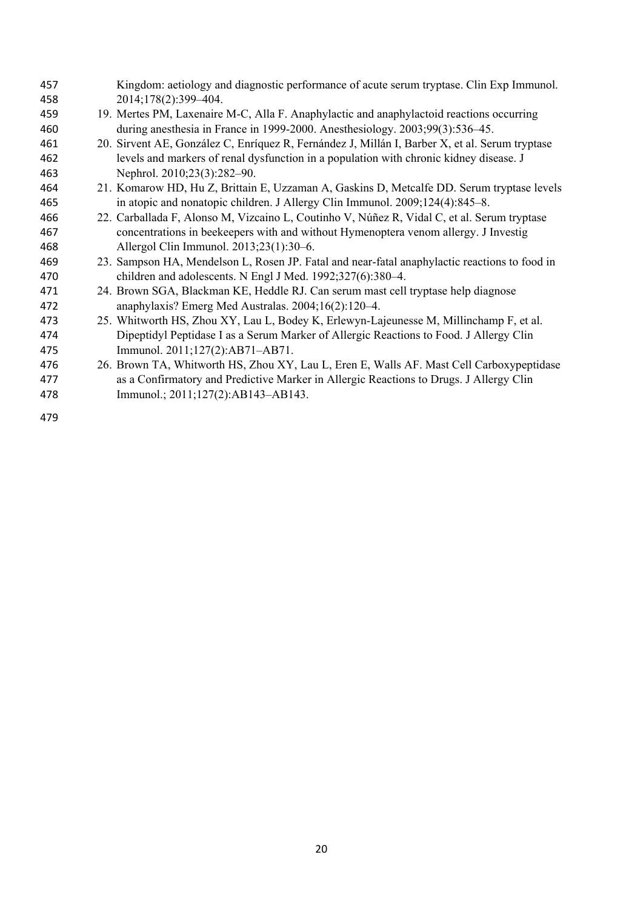| 457 | Kingdom: aetiology and diagnostic performance of acute serum tryptase. Clin Exp Immunol.       |
|-----|------------------------------------------------------------------------------------------------|
| 458 | 2014;178(2):399-404.                                                                           |
| 459 | 19. Mertes PM, Laxenaire M-C, Alla F. Anaphylactic and anaphylactoid reactions occurring       |
| 460 | during anesthesia in France in 1999-2000. Anesthesiology. 2003;99(3):536–45.                   |
| 461 | 20. Sirvent AE, González C, Enríquez R, Fernández J, Millán I, Barber X, et al. Serum tryptase |
| 462 | levels and markers of renal dysfunction in a population with chronic kidney disease. J         |
| 463 | Nephrol. 2010;23(3):282-90.                                                                    |
| 464 | 21. Komarow HD, Hu Z, Brittain E, Uzzaman A, Gaskins D, Metcalfe DD. Serum tryptase levels     |
| 465 | in atopic and nonatopic children. J Allergy Clin Immunol. 2009;124(4):845–8.                   |
| 466 | 22. Carballada F, Alonso M, Vizcaino L, Coutinho V, Núñez R, Vidal C, et al. Serum tryptase    |
| 467 | concentrations in beekeepers with and without Hymenoptera venom allergy. J Investig            |
| 468 | Allergol Clin Immunol. 2013;23(1):30–6.                                                        |
| 469 | 23. Sampson HA, Mendelson L, Rosen JP. Fatal and near-fatal anaphylactic reactions to food in  |
| 470 | children and adolescents. N Engl J Med. 1992;327(6):380-4.                                     |
| 471 | 24. Brown SGA, Blackman KE, Heddle RJ. Can serum mast cell tryptase help diagnose              |
| 472 | anaphylaxis? Emerg Med Australas. 2004;16(2):120–4.                                            |
| 473 | 25. Whitworth HS, Zhou XY, Lau L, Bodey K, Erlewyn-Lajeunesse M, Millinchamp F, et al.         |
| 474 | Dipeptidyl Peptidase I as a Serum Marker of Allergic Reactions to Food. J Allergy Clin         |
| 475 | Immunol. 2011;127(2):AB71-AB71.                                                                |
| 476 | 26. Brown TA, Whitworth HS, Zhou XY, Lau L, Eren E, Walls AF. Mast Cell Carboxypeptidase       |
| 477 | as a Confirmatory and Predictive Marker in Allergic Reactions to Drugs. J Allergy Clin         |
| 478 | Immunol.; 2011;127(2):AB143-AB143.                                                             |
|     |                                                                                                |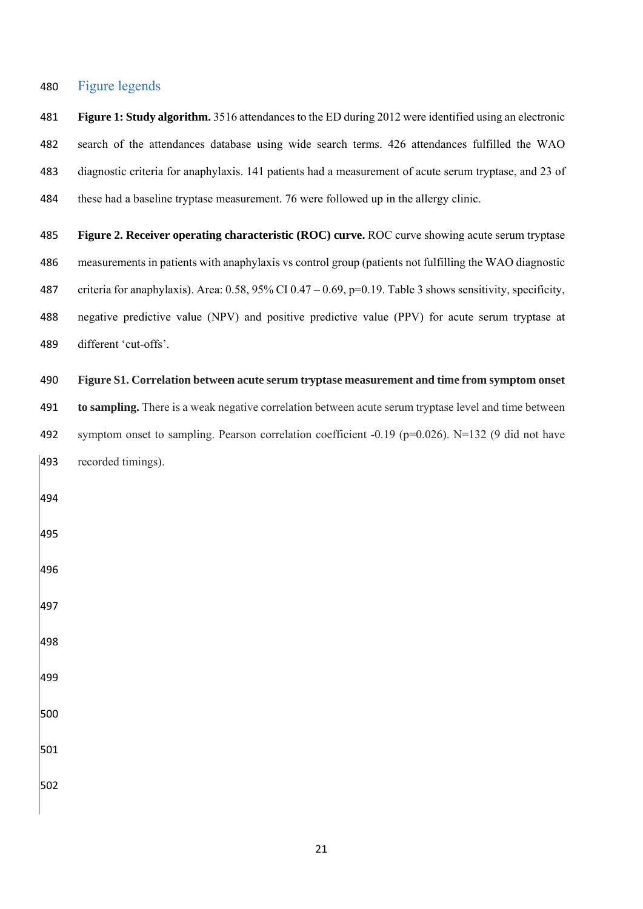#### Figure legends

 **Figure 1: Study algorithm.** 3516 attendances to the ED during 2012 were identified using an electronic search of the attendances database using wide search terms. 426 attendances fulfilled the WAO diagnostic criteria for anaphylaxis. 141 patients had a measurement of acute serum tryptase, and 23 of these had a baseline tryptase measurement. 76 were followed up in the allergy clinic.

 **Figure 2. Receiver operating characteristic (ROC) curve.** ROC curve showing acute serum tryptase measurements in patients with anaphylaxis vs control group (patients not fulfilling the WAO diagnostic criteria for anaphylaxis). Area: 0.58, 95% CI 0.47 – 0.69, p=0.19. Table 3 shows sensitivity, specificity, negative predictive value (NPV) and positive predictive value (PPV) for acute serum tryptase at different 'cut-offs'.

#### **Figure S1. Correlation between acute serum tryptase measurement and time from symptom onset**

 **to sampling.** There is a weak negative correlation between acute serum tryptase level and time between symptom onset to sampling. Pearson correlation coefficient -0.19 (p=0.026). N=132 (9 did not have recorded timings).

- 
-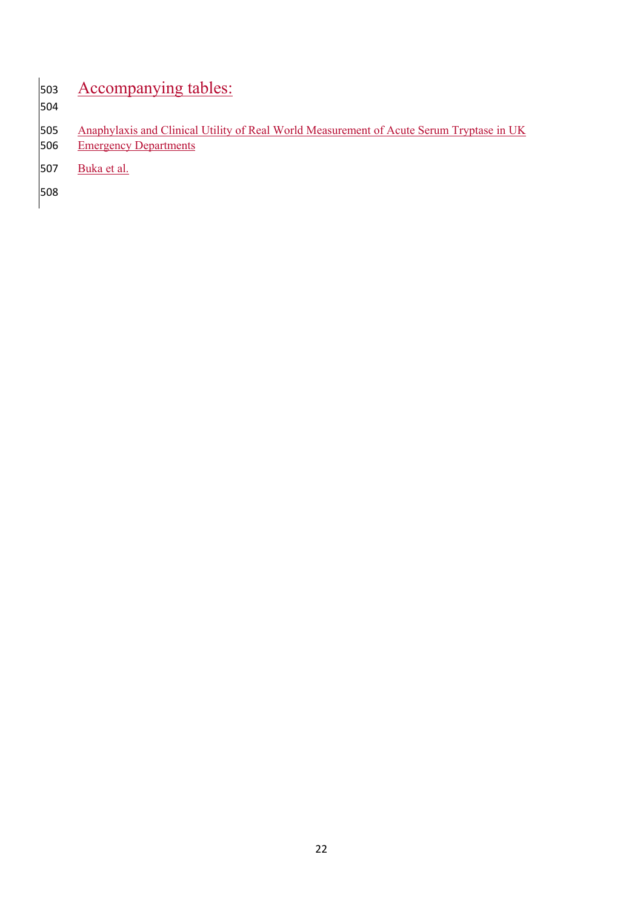# Accompanying tables:

505 Anaphylaxis and Clinical Utility of Real World Measurement of Acute Serum Tryptase in UK<br>506 Emergency Departments **Emergency Departments** 

Buka et al.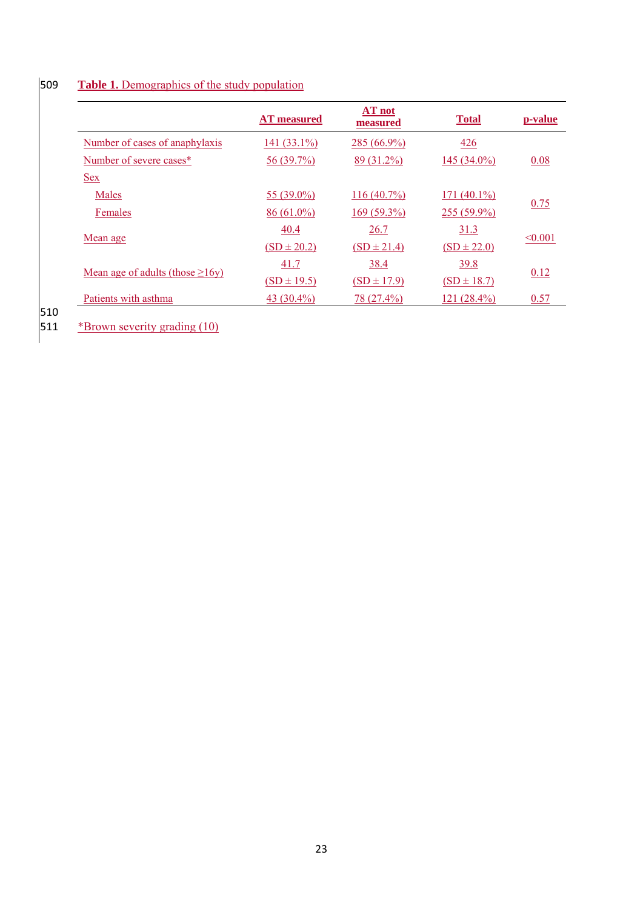## 509 **Table 1.** Demographics of the study population

|                                       | <b>AT</b> measured | AT not<br>measured | <b>Total</b>    | p-value |
|---------------------------------------|--------------------|--------------------|-----------------|---------|
| Number of cases of anaphylaxis        | 141 $(33.1\%)$     | $285(66.9\%)$      | 426             |         |
| Number of severe cases*               | 56 (39.7%)         | 89 (31.2%)         | 145 (34.0%)     | 0.08    |
| <u>Sex</u>                            |                    |                    |                 |         |
| Males                                 | 55 (39.0%)         | $116(40.7\%)$      | 171 $(40.1\%)$  |         |
| Females                               | $86(61.0\%)$       | $169(59.3\%)$      | 255 (59.9%)     | 0.75    |
|                                       | 40.4               | 26.7               | 31.3            |         |
| Mean age                              | $(SD \pm 20.2)$    | $(SD \pm 21.4)$    | $(SD \pm 22.0)$ | < 0.001 |
|                                       | 41.7               | 38.4               | 39.8            |         |
| Mean age of adults (those $\geq$ 16y) | $(SD \pm 19.5)$    | $(SD \pm 17.9)$    | $(SD \pm 18.7)$ | 0.12    |
| Patients with asthma                  | 43 $(30.4\%)$      | 78 (27.4%)         | $121(28.4\%)$   | 0.57    |

510<br>511 \*Brown severity grading (10)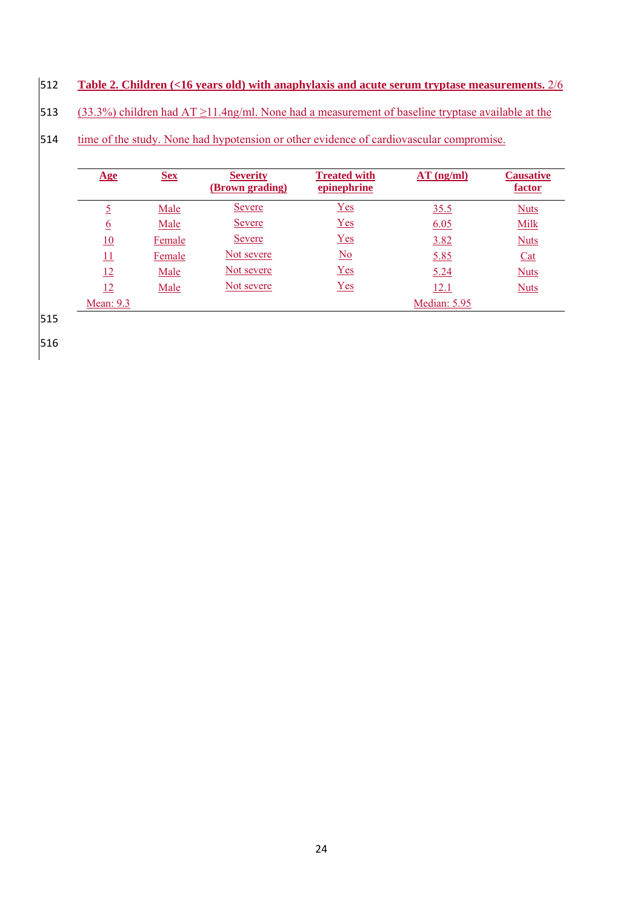## 512 **Table 2. Children (<16 years old) with anaphylaxis and acute serum tryptase measurements.** 2/6

513 (33.3%) children had AT ≥11.4ng/ml. None had a measurement of baseline tryptase available at the

514 time of the study. None had hypotension or other evidence of cardiovascular compromise.

| $\mathbf{Age}$  | <b>Sex</b> | <b>Severity</b><br>(Brown grading) | <b>Treated with</b><br>epinephrine | $AT$ (ng/ml) | <b>Causative</b><br>factor |
|-----------------|------------|------------------------------------|------------------------------------|--------------|----------------------------|
| <u>5</u>        | Male       | <u>Severe</u>                      | $Yes$                              | 35.5         | <b>Nuts</b>                |
| <u>6</u>        | Male       | <b>Severe</b>                      | Yes                                | 6.05         | <b>Milk</b>                |
| 10              | Female     | <u>Severe</u>                      | Yes                                | 3.82         | <b>Nuts</b>                |
| $\overline{11}$ | Female     | Not severe                         | $\underline{\mathrm{No}}$          | 5.85         | Cat                        |
| 12              | Male       | Not severe                         | Yes                                | 5.24         | <b>Nuts</b>                |
| 12              | Male       | Not severe                         | Yes                                | <u>12.1</u>  | <b>Nuts</b>                |
| Mean: $9.3$     |            |                                    |                                    | Median: 5.95 |                            |

515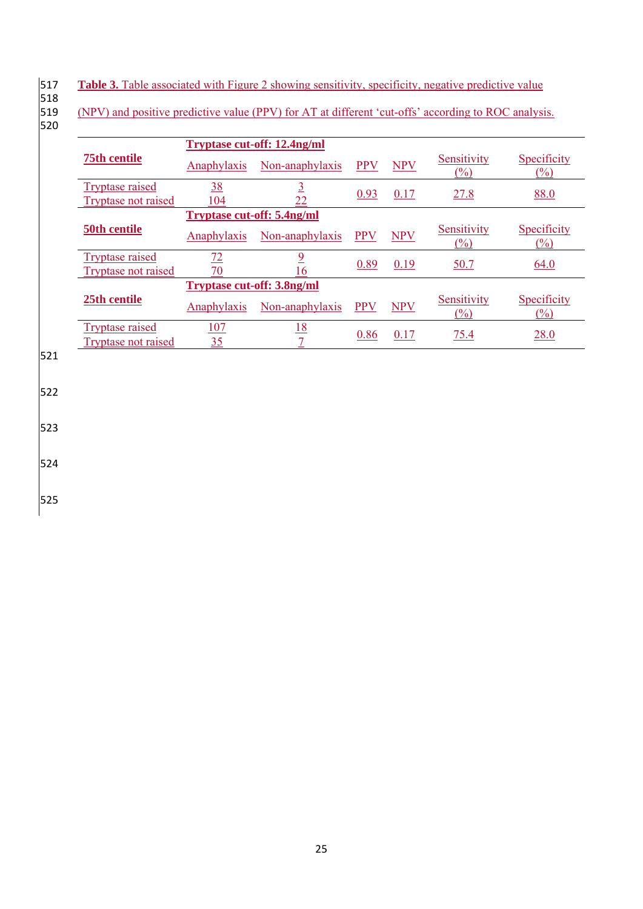- Table 3. Table associated with Figure 2 showing sensitivity, specificity, negative predictive value
- 518
- 520

519 (NPV) and positive predictive value (PPV) for AT at different 'cut-offs' according to ROC analysis.

|                            | <b>Tryptase cut-off: 12.4ng/ml</b> |                 |            |            |                       |                       |  |
|----------------------------|------------------------------------|-----------------|------------|------------|-----------------------|-----------------------|--|
| <b>75th centile</b>        | Anaphylaxis                        | Non-anaphylaxis | <b>PPV</b> | <b>NPV</b> | Sensitivity<br>$(\%)$ | Specificity<br>$(\%)$ |  |
| <b>Tryptase raised</b>     | <u>38</u>                          |                 | 0.93       | 0.17       | 27.8                  | 88.0                  |  |
| <b>Tryptase not raised</b> | 104                                | 22              |            |            |                       |                       |  |
|                            | <b>Tryptase cut-off: 5.4ng/ml</b>  |                 |            |            |                       |                       |  |
| 50th centile               | Anaphylaxis                        | Non-anaphylaxis | <b>PPV</b> | <b>NPV</b> | Sensitivity<br>(%)    | Specificity<br>(%)    |  |
| <b>Tryptase raised</b>     | 72                                 | 9               |            |            |                       |                       |  |
| Tryptase not raised        | 70                                 | 16              | 0.89       | 0.19       | 50.7                  | 64.0                  |  |
|                            | <b>Tryptase cut-off: 3.8ng/ml</b>  |                 |            |            |                       |                       |  |
| 25th centile               | Anaphylaxis                        | Non-anaphylaxis | <b>PPV</b> | <b>NPV</b> | Sensitivity<br>$(\%)$ | Specificity<br>$(\%)$ |  |
| <b>Tryptase raised</b>     | 107                                | 18              | 0.86       | 0.17       | 75.4                  | 28.0                  |  |
| Tryptase not raised        | 35                                 |                 |            |            |                       |                       |  |

521

522

523

524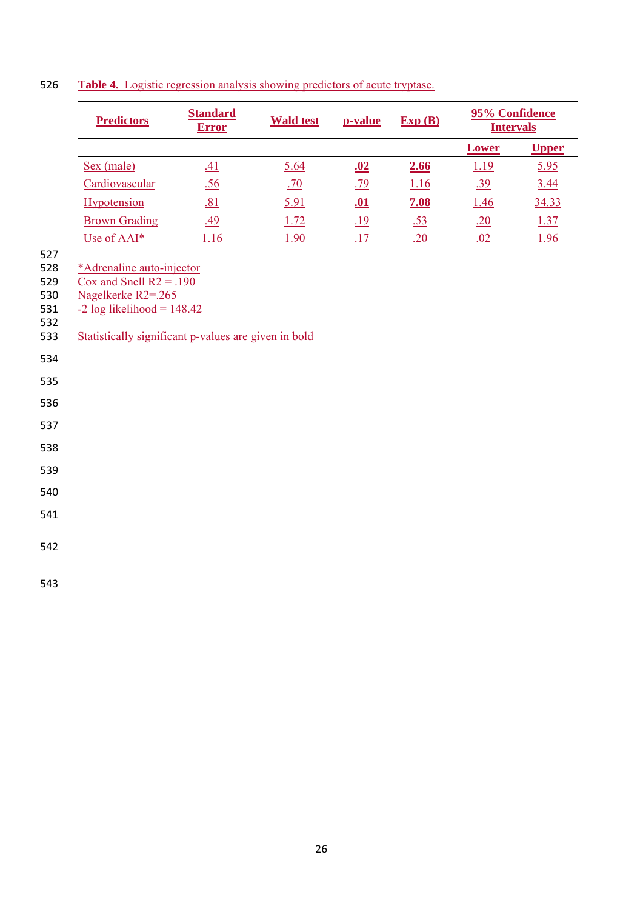|                                                                                                              | <b>Predictors</b>                                                                                                                                                     | <b>Standard</b><br><b>Error</b> | <b>Wald test</b> | p-value    | Exp(B) | 95% Confidence<br><b>Intervals</b> |              |
|--------------------------------------------------------------------------------------------------------------|-----------------------------------------------------------------------------------------------------------------------------------------------------------------------|---------------------------------|------------------|------------|--------|------------------------------------|--------------|
|                                                                                                              |                                                                                                                                                                       |                                 |                  |            |        | Lower                              | <b>Upper</b> |
|                                                                                                              | Sex (male)                                                                                                                                                            | .41                             | 5.64             | <u>.02</u> | 2.66   | 1.19                               | 5.95         |
|                                                                                                              | Cardiovascular                                                                                                                                                        | .56                             | .70              | .79        | 1.16   | .39                                | 3.44         |
|                                                                                                              | Hypotension                                                                                                                                                           | .81                             | 5.91             | <u>.01</u> | 7.08   | 1.46                               | 34.33        |
|                                                                                                              | <b>Brown Grading</b>                                                                                                                                                  | .49                             | 1.72             | <u>.19</u> | .53    | .20                                | 1.37         |
| 527                                                                                                          | Use of AAI*                                                                                                                                                           | 1.16                            | 1.90             | <u>.17</u> | .20    | .02                                | 1.96         |
| 528<br>529<br>530<br>531<br>532<br>533<br>534<br>535<br>536<br>537<br>538<br>539<br>540<br>541<br>542<br>543 | *Adrenaline auto-injector<br>Cox and Snell $R2 = .190$<br>Nagelkerke R2=.265<br>$-2 \log$ likelihood = 148.42<br>Statistically significant p-values are given in bold |                                 |                  |            |        |                                    |              |

## **Table 4.** Logistic regression analysis showing predictors of acute tryptase.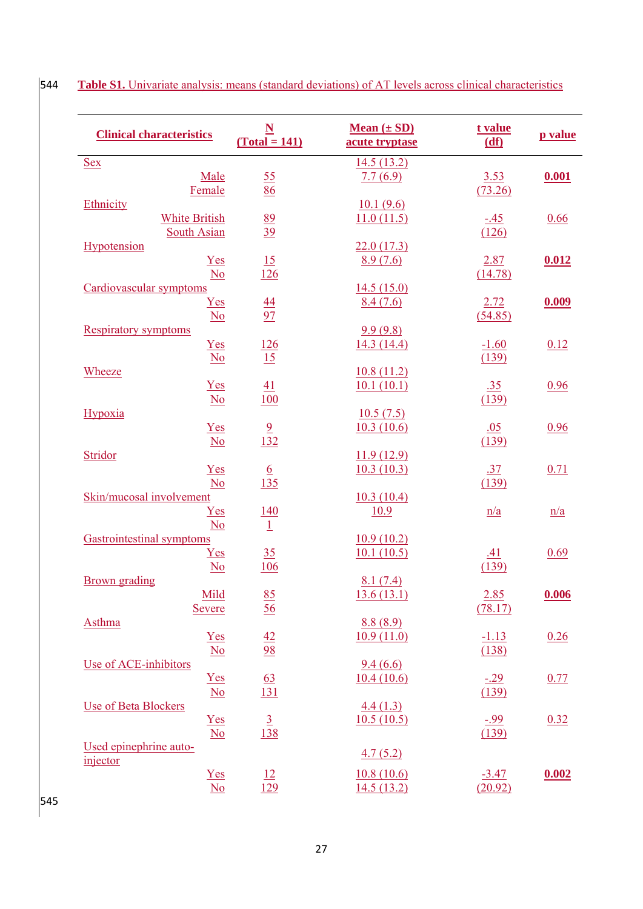| <b>Clinical characteristics</b>     | $\mathbf N$<br>$(Total = 141)$ | Mean $(\pm SD)$<br>acute tryptase | t value<br>(df) | p value |
|-------------------------------------|--------------------------------|-----------------------------------|-----------------|---------|
| <b>Sex</b>                          |                                | 14.5(13.2)                        |                 |         |
| Male                                | 55                             | 7.7(6.9)                          | 3.53            | 0.001   |
| Female                              | 86                             |                                   | (73.26)         |         |
| Ethnicity                           |                                | 10.1(9.6)                         |                 |         |
| <b>White British</b>                | 89                             | 11.0(11.5)                        | $-45$           | 0.66    |
| <b>South Asian</b>                  | 39                             |                                   | (126)           |         |
| Hypotension                         |                                | 22.0(17.3)                        |                 |         |
| $Yes$                               | 15                             | 8.9(7.6)                          | 2.87            | 0.012   |
| N <sub>o</sub>                      | 126                            |                                   | (14.78)         |         |
| Cardiovascular symptoms             |                                | 14.5(15.0)                        |                 |         |
| $Yes$                               |                                | 8.4(7.6)                          | 2.72            | 0.009   |
| $\underline{No}$                    | $\frac{44}{97}$                |                                   | (54.85)         |         |
| <b>Respiratory symptoms</b>         |                                | 9.9(9.8)                          |                 |         |
|                                     |                                | 14.3(14.4)                        |                 | 0.12    |
| Yes                                 | 126<br>15                      |                                   | $-1.60$         |         |
| $\underline{\mathrm{No}}$<br>Wheeze |                                | 10.8(11.2)                        | (139)           |         |
| Yes                                 |                                |                                   |                 |         |
|                                     | 41                             | 10.1(10.1)                        | .35             | 0.96    |
| $\underline{\mathrm{No}}$           | <b>100</b>                     |                                   | (139)           |         |
| Hypoxia                             |                                | 10.5(7.5)                         |                 |         |
| Yes                                 | $\frac{9}{132}$                | 10.3(10.6)                        | .05             | 0.96    |
| $\underline{No}$                    |                                |                                   | (139)           |         |
| Stridor                             |                                | 11.9(12.9)                        |                 |         |
| $Yes$                               | $\frac{6}{135}$                | 10.3(10.3)                        | .37             | 0.71    |
| N <sub>0</sub>                      |                                |                                   | (139)           |         |
| Skin/mucosal involvement            |                                | 10.3(10.4)                        |                 |         |
| $Yes$                               | <u>140</u>                     | 10.9                              | n/a             | n/a     |
| N <sub>0</sub>                      | $\perp$                        |                                   |                 |         |
| <b>Gastrointestinal symptoms</b>    |                                | 10.9(10.2)                        |                 |         |
| ${\underline{\rm Yes}}$             | 35                             | 10.1(10.5)                        | .41             | 0.69    |
| $\underline{\mathrm{No}}$           | <u>106</u>                     |                                   | (139)           |         |
| <b>Brown</b> grading                |                                | 8.1(7.4)                          |                 |         |
| Mild                                | 85                             | 13.6(13.1)                        | 2.85            | 0.006   |
| <b>Severe</b>                       | 56                             |                                   | (78.17)         |         |
| <b>Asthma</b>                       |                                | 8.8(8.9)                          |                 |         |
| $Yes$                               | 42                             | 10.9(11.0)                        | $-1.13$         | 0.26    |
| $\underline{No}$                    | 98                             |                                   | (138)           |         |
| Use of ACE-inhibitors               |                                | 9.4(6.6)                          |                 |         |
| $Yes$                               | <u>63</u>                      | 10.4(10.6)                        | $-29$           | 0.77    |
| $\underline{No}$                    | 131                            |                                   | (139)           |         |
| <b>Use of Beta Blockers</b>         |                                | 4.4(1.3)                          |                 |         |
| $Yes$                               | $\overline{3}$                 | 10.5(10.5)                        | $-99$           | 0.32    |
| $\underline{No}$                    | 138                            |                                   | (139)           |         |
| Used epinephrine auto-              |                                |                                   |                 |         |
| injector                            |                                | 4.7(5.2)                          |                 |         |
| $Yes$                               | 12                             | 10.8(10.6)                        | $-3.47$         | 0.002   |
| N <sub>0</sub>                      | 129                            | 14.5(13.2)                        | (20.92)         |         |
|                                     |                                |                                   |                 |         |

544 **Table S1.** Univariate analysis: means (standard deviations) of AT levels across clinical characteristics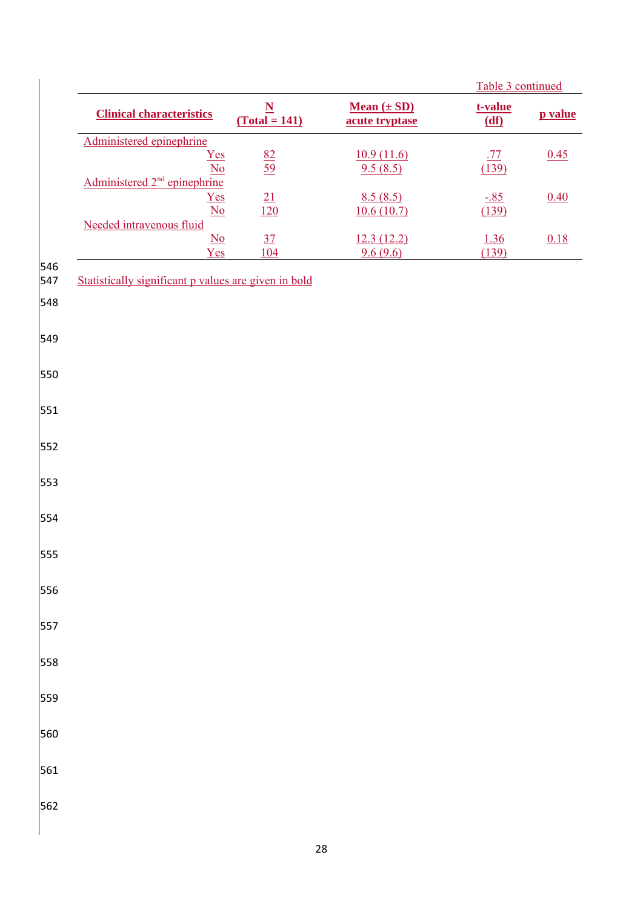|            |                                                                                |                                       |                                   | Table 3 continued   |         |  |
|------------|--------------------------------------------------------------------------------|---------------------------------------|-----------------------------------|---------------------|---------|--|
|            | <b>Clinical characteristics</b>                                                | $\frac{\underline{N}}{(Total = 141)}$ | Mean $(\pm SD)$<br>acute tryptase | t-value<br>(df)     | p value |  |
|            | Administered epinephrine<br>Yes<br>$\underline{\mathrm{No}}$                   | $\frac{82}{59}$                       | 10.9(11.6)<br>9.5(8.5)            | <u>.77</u><br>(139) | 0.45    |  |
|            | Administered 2 <sup>nd</sup> epinephrine<br>Yes<br>$\overline{\underline{No}}$ | $\frac{21}{120}$                      | 8.5(8.5)<br>10.6(10.7)            | $-85$<br>(139)      | 0.40    |  |
|            | Needed intravenous fluid<br>$\underline{No}$<br>Yes                            | $\frac{37}{104}$                      | 12.3(12.2)                        | 1.36<br>(139)       | 0.18    |  |
| 546<br>547 | Statistically significant p values are given in bold                           |                                       | 9.6(9.6)                          |                     |         |  |
| 548        |                                                                                |                                       |                                   |                     |         |  |
| 549        |                                                                                |                                       |                                   |                     |         |  |
| 550        |                                                                                |                                       |                                   |                     |         |  |
| 551        |                                                                                |                                       |                                   |                     |         |  |
| 552        |                                                                                |                                       |                                   |                     |         |  |
| 553        |                                                                                |                                       |                                   |                     |         |  |
| 554        |                                                                                |                                       |                                   |                     |         |  |
| 555        |                                                                                |                                       |                                   |                     |         |  |
| 556        |                                                                                |                                       |                                   |                     |         |  |
| 557        |                                                                                |                                       |                                   |                     |         |  |
| 558        |                                                                                |                                       |                                   |                     |         |  |
| 559        |                                                                                |                                       |                                   |                     |         |  |
| 560        |                                                                                |                                       |                                   |                     |         |  |
| 561        |                                                                                |                                       |                                   |                     |         |  |
| 562        |                                                                                |                                       |                                   |                     |         |  |
|            |                                                                                |                                       |                                   |                     |         |  |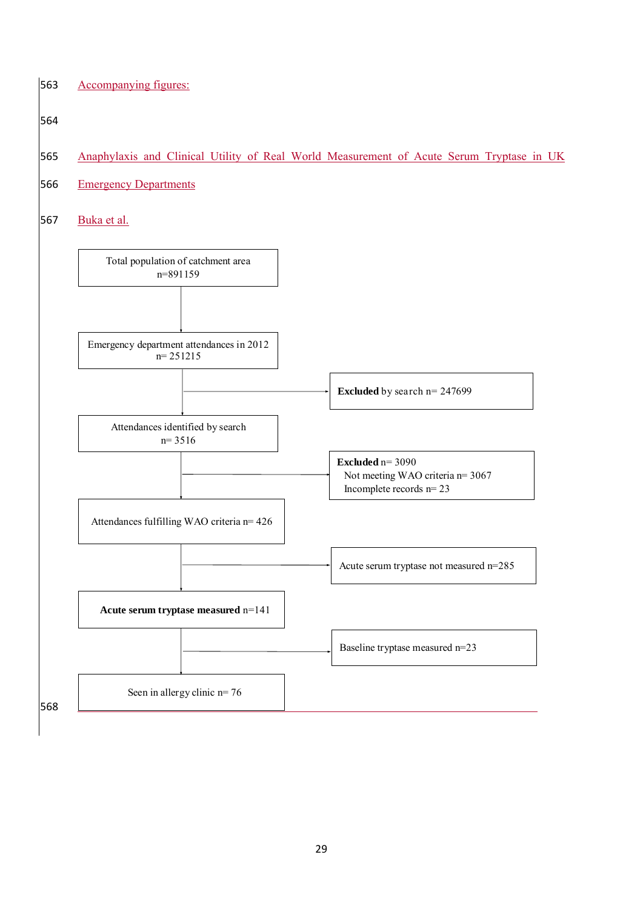